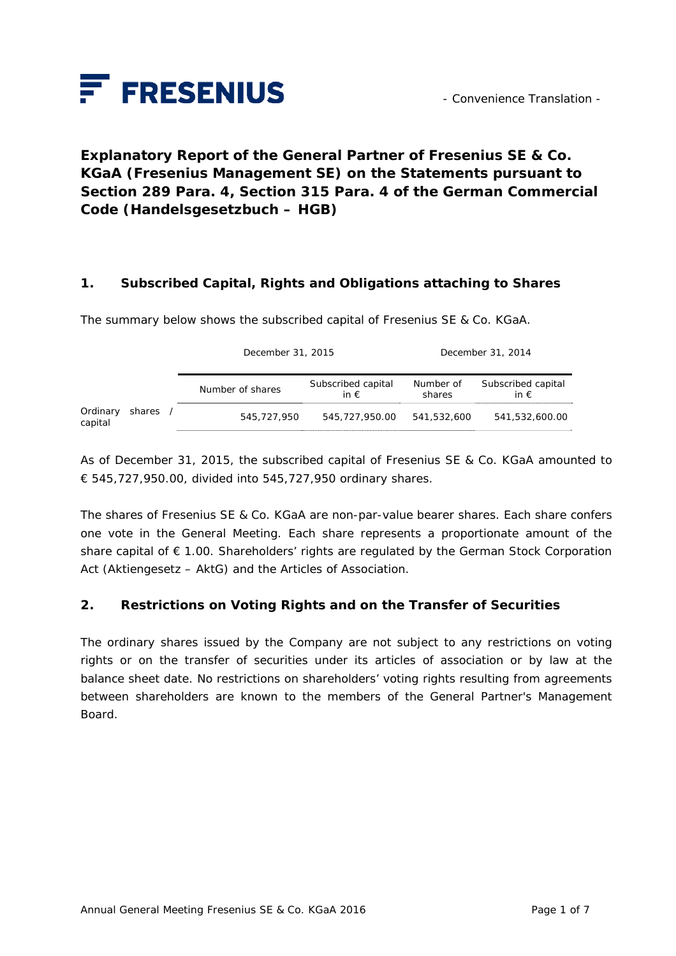

# **Explanatory Report of the General Partner of Fresenius SE & Co. KGaA (Fresenius Management SE) on the Statements pursuant to Section 289 Para. 4, Section 315 Para. 4 of the German Commercial Code (***Handelsgesetzbuch – HGB***)**

### **1. Subscribed Capital, Rights and Obligations attaching to Shares**

The summary below shows the subscribed capital of Fresenius SE & Co. KGaA.

|                     |          | December 31, 2015 |                                     | December 31, 2014   |                                     |
|---------------------|----------|-------------------|-------------------------------------|---------------------|-------------------------------------|
|                     |          | Number of shares  | Subscribed capital<br>in $\epsilon$ | Number of<br>shares | Subscribed capital<br>in $\epsilon$ |
| Ordinary<br>capital | shares / | 545,727,950       | 545,727,950.00                      | 541,532,600         | 541,532,600.00                      |

As of December 31, 2015, the subscribed capital of Fresenius SE & Co. KGaA amounted to € 545,727,950.00, divided into 545,727,950 ordinary shares.

The shares of Fresenius SE & Co. KGaA are non-par-value bearer shares. Each share confers one vote in the General Meeting. Each share represents a proportionate amount of the share capital of € 1.00. Shareholders' rights are regulated by the German Stock Corporation Act (*Aktiengesetz – AktG*) and the Articles of Association.

#### **2. Restrictions on Voting Rights and on the Transfer of Securities**

The ordinary shares issued by the Company are not subject to any restrictions on voting rights or on the transfer of securities under its articles of association or by law at the balance sheet date. No restrictions on shareholders' voting rights resulting from agreements between shareholders are known to the members of the General Partner's Management Board.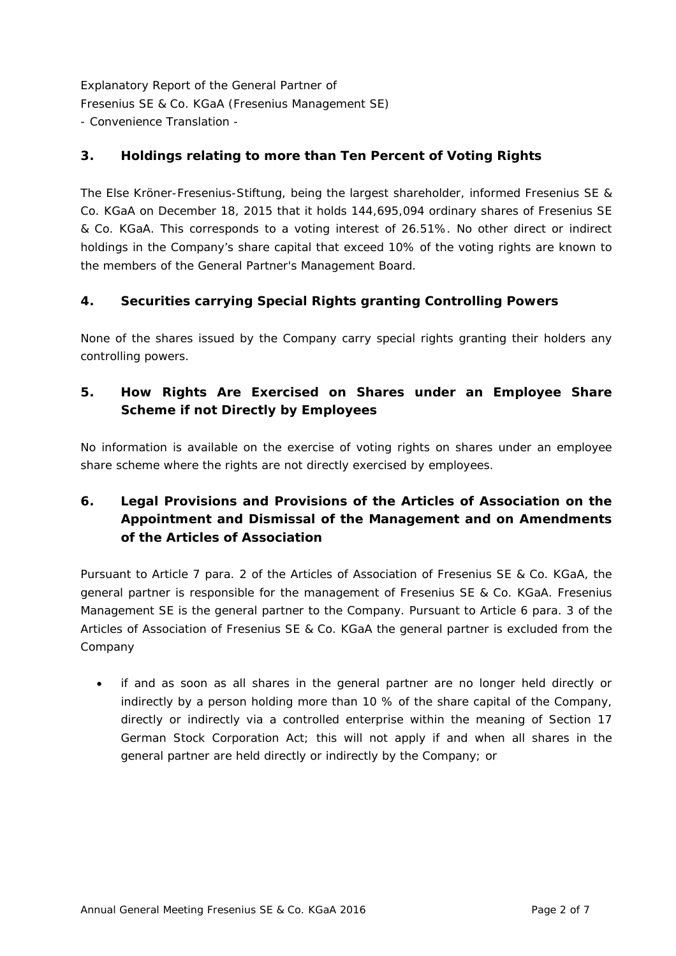## **3. Holdings relating to more than Ten Percent of Voting Rights**

The Else Kröner-Fresenius-Stiftung, being the largest shareholder, informed Fresenius SE & Co. KGaA on December 18, 2015 that it holds 144,695,094 ordinary shares of Fresenius SE & Co. KGaA. This corresponds to a voting interest of 26.51%. No other direct or indirect holdings in the Company's share capital that exceed 10% of the voting rights are known to the members of the General Partner's Management Board.

## **4. Securities carrying Special Rights granting Controlling Powers**

None of the shares issued by the Company carry special rights granting their holders any controlling powers.

## **5. How Rights Are Exercised on Shares under an Employee Share Scheme if not Directly by Employees**

No information is available on the exercise of voting rights on shares under an employee share scheme where the rights are not directly exercised by employees.

# **6. Legal Provisions and Provisions of the Articles of Association on the Appointment and Dismissal of the Management and on Amendments of the Articles of Association**

Pursuant to Article 7 para. 2 of the Articles of Association of Fresenius SE & Co. KGaA, the general partner is responsible for the management of Fresenius SE & Co. KGaA. Fresenius Management SE is the general partner to the Company. Pursuant to Article 6 para. 3 of the Articles of Association of Fresenius SE & Co. KGaA the general partner is excluded from the Company

 if and as soon as all shares in the general partner are no longer held directly or indirectly by a person holding more than 10 % of the share capital of the Company, directly or indirectly via a controlled enterprise within the meaning of Section 17 German Stock Corporation Act; this will not apply if and when all shares in the general partner are held directly or indirectly by the Company; or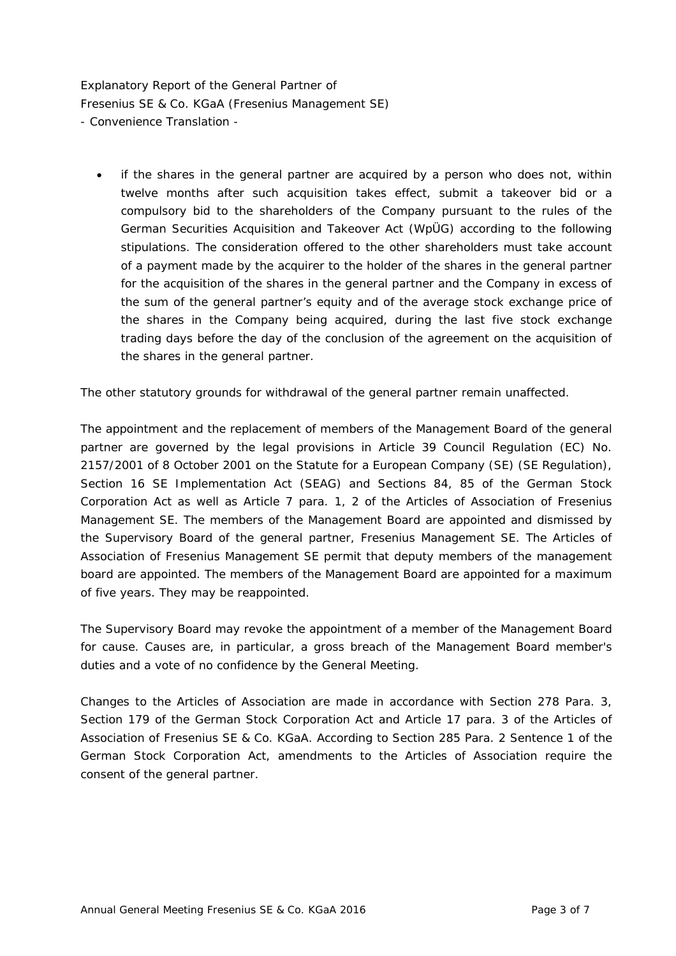if the shares in the general partner are acquired by a person who does not, within twelve months after such acquisition takes effect, submit a takeover bid or a compulsory bid to the shareholders of the Company pursuant to the rules of the German Securities Acquisition and Takeover Act (WpÜG) according to the following stipulations. The consideration offered to the other shareholders must take account of a payment made by the acquirer to the holder of the shares in the general partner for the acquisition of the shares in the general partner and the Company in excess of the sum of the general partner's equity and of the average stock exchange price of the shares in the Company being acquired, during the last five stock exchange trading days before the day of the conclusion of the agreement on the acquisition of the shares in the general partner.

The other statutory grounds for withdrawal of the general partner remain unaffected.

The appointment and the replacement of members of the Management Board of the general partner are governed by the legal provisions in Article 39 Council Regulation (EC) No. 2157/2001 of 8 October 2001 on the Statute for a European Company (SE) (SE Regulation), Section 16 SE Implementation Act (SEAG) and Sections 84, 85 of the German Stock Corporation Act as well as Article 7 para. 1, 2 of the Articles of Association of Fresenius Management SE. The members of the Management Board are appointed and dismissed by the Supervisory Board of the general partner, Fresenius Management SE. The Articles of Association of Fresenius Management SE permit that deputy members of the management board are appointed. The members of the Management Board are appointed for a maximum of five years. They may be reappointed.

The Supervisory Board may revoke the appointment of a member of the Management Board for cause. Causes are, in particular, a gross breach of the Management Board member's duties and a vote of no confidence by the General Meeting.

Changes to the Articles of Association are made in accordance with Section 278 Para. 3, Section 179 of the German Stock Corporation Act and Article 17 para. 3 of the Articles of Association of Fresenius SE & Co. KGaA. According to Section 285 Para. 2 Sentence 1 of the German Stock Corporation Act, amendments to the Articles of Association require the consent of the general partner.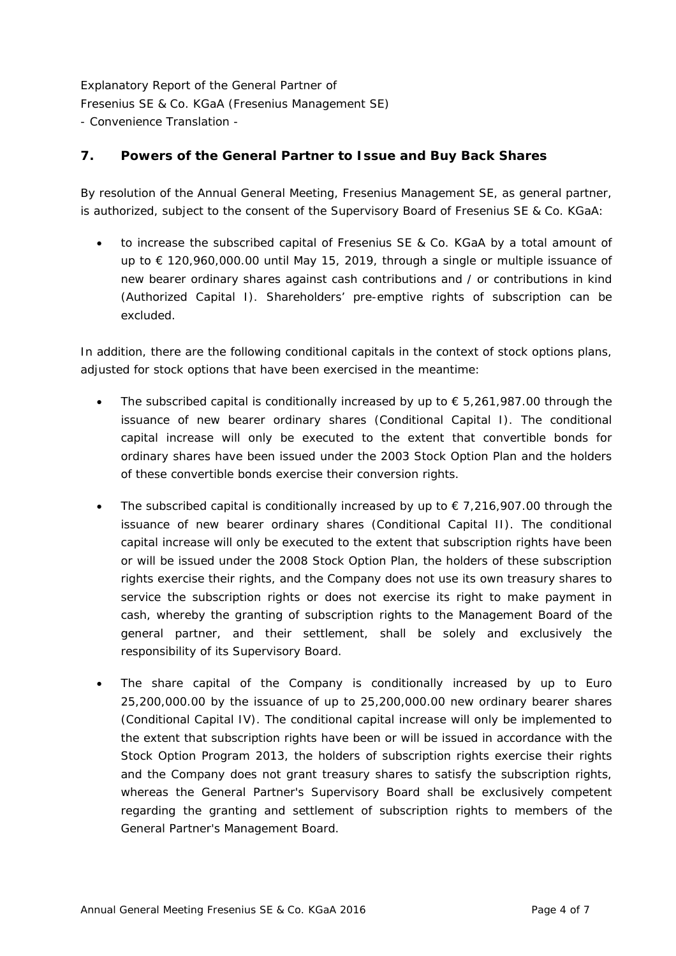## **7. Powers of the General Partner to Issue and Buy Back Shares**

By resolution of the Annual General Meeting, Fresenius Management SE, as general partner, is authorized, subject to the consent of the Supervisory Board of Fresenius SE & Co. KGaA:

 to increase the subscribed capital of Fresenius SE & Co. KGaA by a total amount of up to € 120,960,000.00 until May 15, 2019, through a single or multiple issuance of new bearer ordinary shares against cash contributions and / or contributions in kind (Authorized Capital I). Shareholders' pre-emptive rights of subscription can be excluded.

In addition, there are the following conditional capitals in the context of stock options plans, adjusted for stock options that have been exercised in the meantime:

- The subscribed capital is conditionally increased by up to  $\epsilon$  5,261,987.00 through the issuance of new bearer ordinary shares (Conditional Capital I). The conditional capital increase will only be executed to the extent that convertible bonds for ordinary shares have been issued under the 2003 Stock Option Plan and the holders of these convertible bonds exercise their conversion rights.
- The subscribed capital is conditionally increased by up to  $\epsilon$  7.216,907.00 through the issuance of new bearer ordinary shares (Conditional Capital II). The conditional capital increase will only be executed to the extent that subscription rights have been or will be issued under the 2008 Stock Option Plan, the holders of these subscription rights exercise their rights, and the Company does not use its own treasury shares to service the subscription rights or does not exercise its right to make payment in cash, whereby the granting of subscription rights to the Management Board of the general partner, and their settlement, shall be solely and exclusively the responsibility of its Supervisory Board.
- The share capital of the Company is conditionally increased by up to Euro 25,200,000.00 by the issuance of up to 25,200,000.00 new ordinary bearer shares (Conditional Capital IV). The conditional capital increase will only be implemented to the extent that subscription rights have been or will be issued in accordance with the Stock Option Program 2013, the holders of subscription rights exercise their rights and the Company does not grant treasury shares to satisfy the subscription rights, whereas the General Partner's Supervisory Board shall be exclusively competent regarding the granting and settlement of subscription rights to members of the General Partner's Management Board.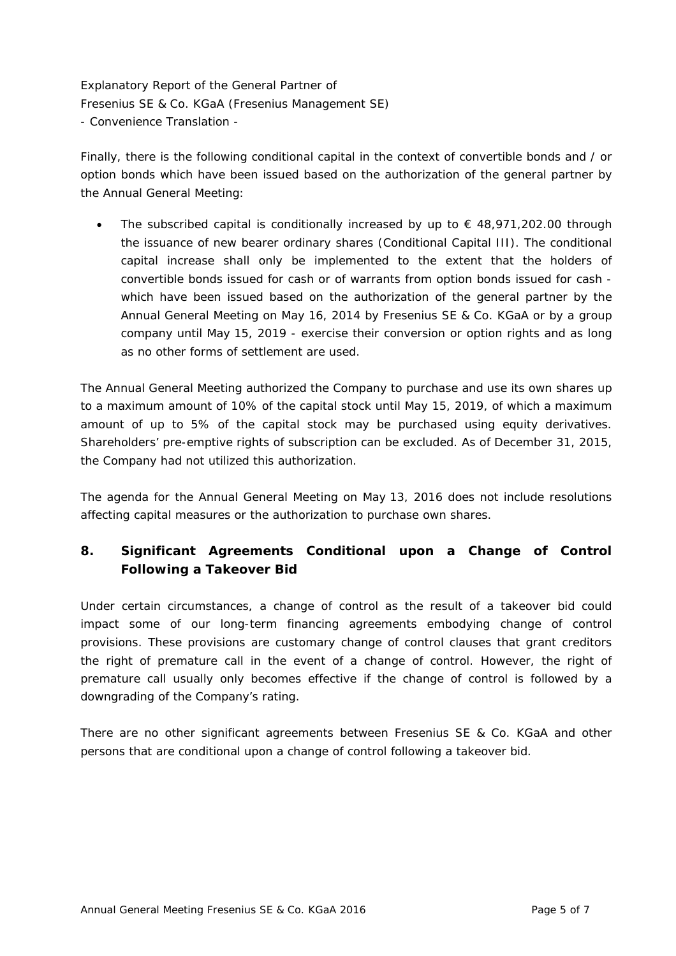Finally, there is the following conditional capital in the context of convertible bonds and / or option bonds which have been issued based on the authorization of the general partner by the Annual General Meeting:

The subscribed capital is conditionally increased by up to  $\epsilon$  48,971,202.00 through the issuance of new bearer ordinary shares (Conditional Capital III). The conditional capital increase shall only be implemented to the extent that the holders of convertible bonds issued for cash or of warrants from option bonds issued for cash which have been issued based on the authorization of the general partner by the Annual General Meeting on May 16, 2014 by Fresenius SE & Co. KGaA or by a group company until May 15, 2019 - exercise their conversion or option rights and as long as no other forms of settlement are used.

The Annual General Meeting authorized the Company to purchase and use its own shares up to a maximum amount of 10% of the capital stock until May 15, 2019, of which a maximum amount of up to 5% of the capital stock may be purchased using equity derivatives. Shareholders' pre-emptive rights of subscription can be excluded. As of December 31, 2015, the Company had not utilized this authorization.

The agenda for the Annual General Meeting on May 13, 2016 does not include resolutions affecting capital measures or the authorization to purchase own shares.

# **8. Significant Agreements Conditional upon a Change of Control Following a Takeover Bid**

Under certain circumstances, a change of control as the result of a takeover bid could impact some of our long-term financing agreements embodying change of control provisions. These provisions are customary change of control clauses that grant creditors the right of premature call in the event of a change of control. However, the right of premature call usually only becomes effective if the change of control is followed by a downgrading of the Company's rating.

There are no other significant agreements between Fresenius SE & Co. KGaA and other persons that are conditional upon a change of control following a takeover bid.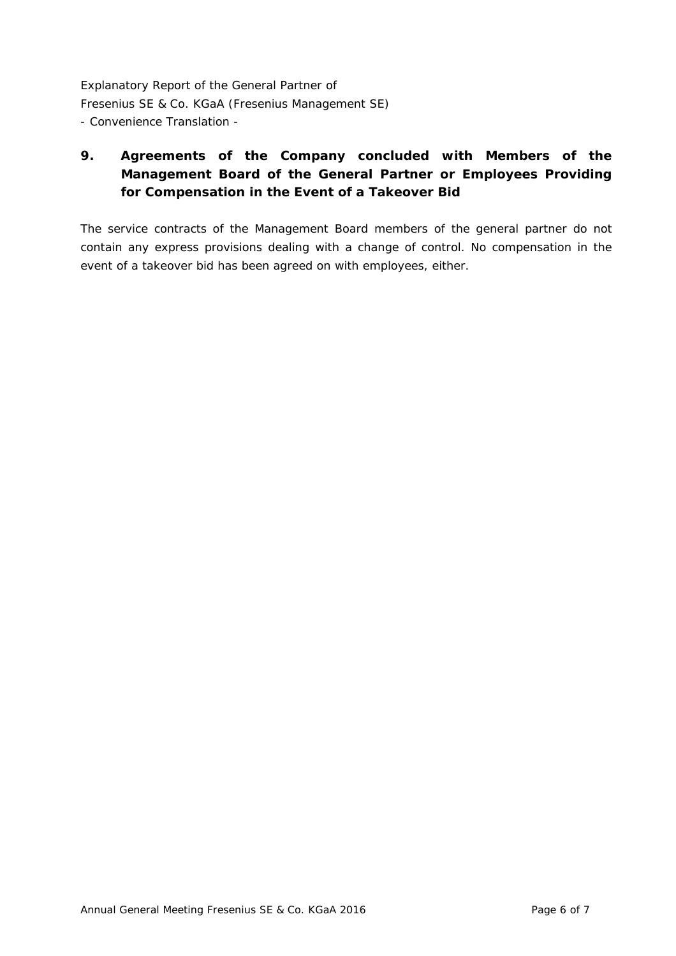# **9. Agreements of the Company concluded with Members of the Management Board of the General Partner or Employees Providing for Compensation in the Event of a Takeover Bid**

The service contracts of the Management Board members of the general partner do not contain any express provisions dealing with a change of control. No compensation in the event of a takeover bid has been agreed on with employees, either.